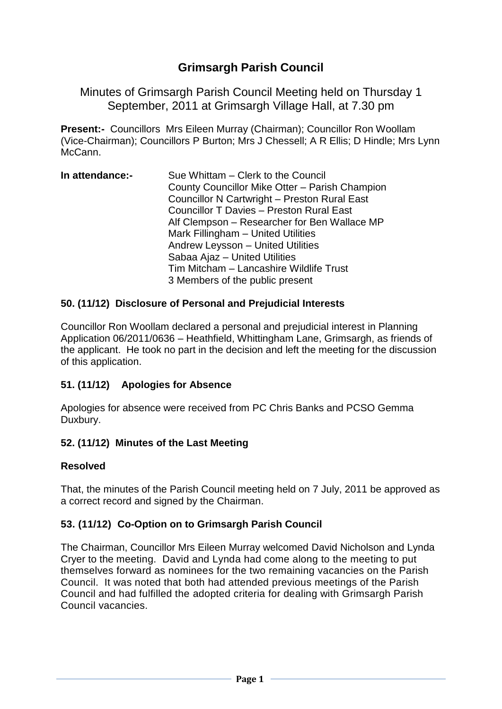# **Grimsargh Parish Council**

Minutes of Grimsargh Parish Council Meeting held on Thursday 1 September, 2011 at Grimsargh Village Hall, at 7.30 pm

**Present:-** Councillors Mrs Eileen Murray (Chairman); Councillor Ron Woollam (Vice-Chairman); Councillors P Burton; Mrs J Chessell; A R Ellis; D Hindle; Mrs Lynn McCann.

| In attendance:- | Sue Whittam – Clerk to the Council                  |
|-----------------|-----------------------------------------------------|
|                 | County Councillor Mike Otter - Parish Champion      |
|                 | <b>Councillor N Cartwright - Preston Rural East</b> |
|                 | <b>Councillor T Davies - Preston Rural East</b>     |
|                 | Alf Clempson - Researcher for Ben Wallace MP        |
|                 | Mark Fillingham - United Utilities                  |
|                 | Andrew Leysson - United Utilities                   |
|                 | Sabaa Ajaz - United Utilities                       |
|                 | Tim Mitcham - Lancashire Wildlife Trust             |
|                 | 3 Members of the public present                     |

### **50. (11/12) Disclosure of Personal and Prejudicial Interests**

Councillor Ron Woollam declared a personal and prejudicial interest in Planning Application 06/2011/0636 – Heathfield, Whittingham Lane, Grimsargh, as friends of the applicant. He took no part in the decision and left the meeting for the discussion of this application.

### **51. (11/12) Apologies for Absence**

Apologies for absence were received from PC Chris Banks and PCSO Gemma Duxbury.

#### **52. (11/12) Minutes of the Last Meeting**

#### **Resolved**

That, the minutes of the Parish Council meeting held on 7 July, 2011 be approved as a correct record and signed by the Chairman.

### **53. (11/12) Co-Option on to Grimsargh Parish Council**

The Chairman, Councillor Mrs Eileen Murray welcomed David Nicholson and Lynda Cryer to the meeting. David and Lynda had come along to the meeting to put themselves forward as nominees for the two remaining vacancies on the Parish Council. It was noted that both had attended previous meetings of the Parish Council and had fulfilled the adopted criteria for dealing with Grimsargh Parish Council vacancies.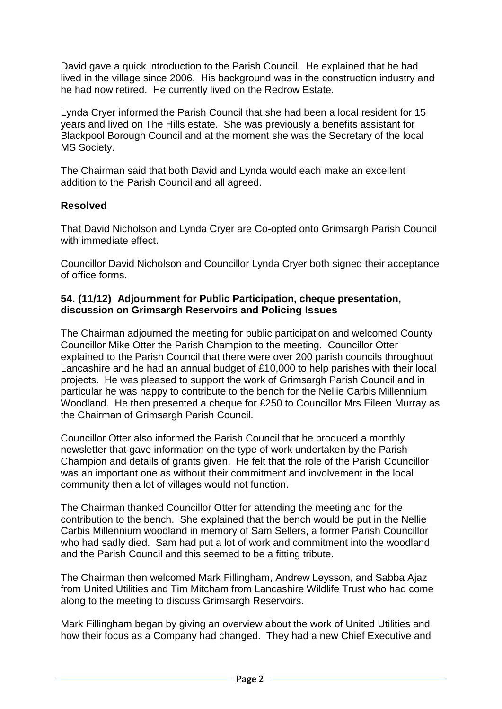David gave a quick introduction to the Parish Council. He explained that he had lived in the village since 2006. His background was in the construction industry and he had now retired. He currently lived on the Redrow Estate.

Lynda Cryer informed the Parish Council that she had been a local resident for 15 years and lived on The Hills estate. She was previously a benefits assistant for Blackpool Borough Council and at the moment she was the Secretary of the local MS Society.

The Chairman said that both David and Lynda would each make an excellent addition to the Parish Council and all agreed.

### **Resolved**

That David Nicholson and Lynda Cryer are Co-opted onto Grimsargh Parish Council with immediate effect.

Councillor David Nicholson and Councillor Lynda Cryer both signed their acceptance of office forms.

### **54. (11/12) Adjournment for Public Participation, cheque presentation, discussion on Grimsargh Reservoirs and Policing Issues**

The Chairman adjourned the meeting for public participation and welcomed County Councillor Mike Otter the Parish Champion to the meeting. Councillor Otter explained to the Parish Council that there were over 200 parish councils throughout Lancashire and he had an annual budget of £10,000 to help parishes with their local projects. He was pleased to support the work of Grimsargh Parish Council and in particular he was happy to contribute to the bench for the Nellie Carbis Millennium Woodland. He then presented a cheque for £250 to Councillor Mrs Eileen Murray as the Chairman of Grimsargh Parish Council.

Councillor Otter also informed the Parish Council that he produced a monthly newsletter that gave information on the type of work undertaken by the Parish Champion and details of grants given. He felt that the role of the Parish Councillor was an important one as without their commitment and involvement in the local community then a lot of villages would not function.

The Chairman thanked Councillor Otter for attending the meeting and for the contribution to the bench. She explained that the bench would be put in the Nellie Carbis Millennium woodland in memory of Sam Sellers, a former Parish Councillor who had sadly died. Sam had put a lot of work and commitment into the woodland and the Parish Council and this seemed to be a fitting tribute.

The Chairman then welcomed Mark Fillingham, Andrew Leysson, and Sabba Ajaz from United Utilities and Tim Mitcham from Lancashire Wildlife Trust who had come along to the meeting to discuss Grimsargh Reservoirs.

Mark Fillingham began by giving an overview about the work of United Utilities and how their focus as a Company had changed. They had a new Chief Executive and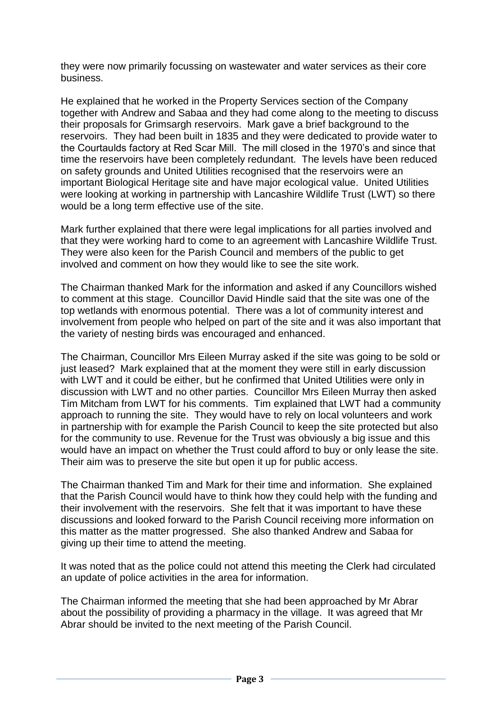they were now primarily focussing on wastewater and water services as their core business.

He explained that he worked in the Property Services section of the Company together with Andrew and Sabaa and they had come along to the meeting to discuss their proposals for Grimsargh reservoirs. Mark gave a brief background to the reservoirs. They had been built in 1835 and they were dedicated to provide water to the Courtaulds factory at Red Scar Mill. The mill closed in the 1970's and since that time the reservoirs have been completely redundant. The levels have been reduced on safety grounds and United Utilities recognised that the reservoirs were an important Biological Heritage site and have major ecological value. United Utilities were looking at working in partnership with Lancashire Wildlife Trust (LWT) so there would be a long term effective use of the site.

Mark further explained that there were legal implications for all parties involved and that they were working hard to come to an agreement with Lancashire Wildlife Trust. They were also keen for the Parish Council and members of the public to get involved and comment on how they would like to see the site work.

The Chairman thanked Mark for the information and asked if any Councillors wished to comment at this stage. Councillor David Hindle said that the site was one of the top wetlands with enormous potential. There was a lot of community interest and involvement from people who helped on part of the site and it was also important that the variety of nesting birds was encouraged and enhanced.

The Chairman, Councillor Mrs Eileen Murray asked if the site was going to be sold or just leased? Mark explained that at the moment they were still in early discussion with LWT and it could be either, but he confirmed that United Utilities were only in discussion with LWT and no other parties. Councillor Mrs Eileen Murray then asked Tim Mitcham from LWT for his comments. Tim explained that LWT had a community approach to running the site. They would have to rely on local volunteers and work in partnership with for example the Parish Council to keep the site protected but also for the community to use. Revenue for the Trust was obviously a big issue and this would have an impact on whether the Trust could afford to buy or only lease the site. Their aim was to preserve the site but open it up for public access.

The Chairman thanked Tim and Mark for their time and information. She explained that the Parish Council would have to think how they could help with the funding and their involvement with the reservoirs. She felt that it was important to have these discussions and looked forward to the Parish Council receiving more information on this matter as the matter progressed. She also thanked Andrew and Sabaa for giving up their time to attend the meeting.

It was noted that as the police could not attend this meeting the Clerk had circulated an update of police activities in the area for information.

The Chairman informed the meeting that she had been approached by Mr Abrar about the possibility of providing a pharmacy in the village. It was agreed that Mr Abrar should be invited to the next meeting of the Parish Council.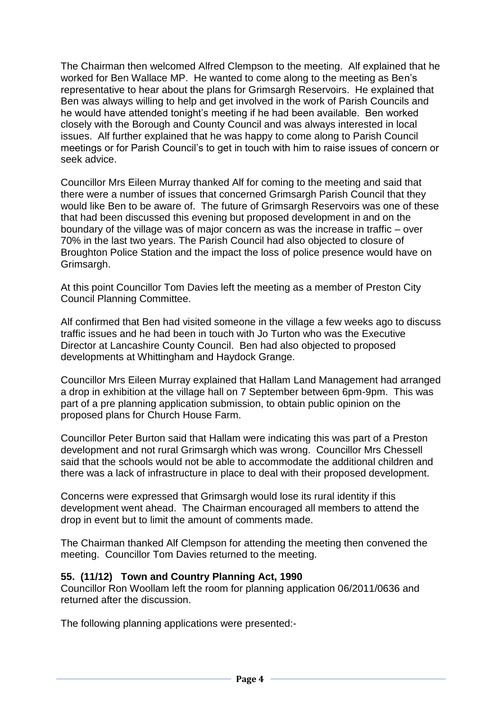The Chairman then welcomed Alfred Clempson to the meeting. Alf explained that he worked for Ben Wallace MP. He wanted to come along to the meeting as Ben's representative to hear about the plans for Grimsargh Reservoirs. He explained that Ben was always willing to help and get involved in the work of Parish Councils and he would have attended tonight's meeting if he had been available. Ben worked closely with the Borough and County Council and was always interested in local issues. Alf further explained that he was happy to come along to Parish Council meetings or for Parish Council's to get in touch with him to raise issues of concern or seek advice.

Councillor Mrs Eileen Murray thanked Alf for coming to the meeting and said that there were a number of issues that concerned Grimsargh Parish Council that they would like Ben to be aware of. The future of Grimsargh Reservoirs was one of these that had been discussed this evening but proposed development in and on the boundary of the village was of major concern as was the increase in traffic – over 70% in the last two years. The Parish Council had also objected to closure of Broughton Police Station and the impact the loss of police presence would have on Grimsargh.

At this point Councillor Tom Davies left the meeting as a member of Preston City Council Planning Committee.

Alf confirmed that Ben had visited someone in the village a few weeks ago to discuss traffic issues and he had been in touch with Jo Turton who was the Executive Director at Lancashire County Council. Ben had also objected to proposed developments at Whittingham and Haydock Grange.

Councillor Mrs Eileen Murray explained that Hallam Land Management had arranged a drop in exhibition at the village hall on 7 September between 6pm-9pm. This was part of a pre planning application submission, to obtain public opinion on the proposed plans for Church House Farm.

Councillor Peter Burton said that Hallam were indicating this was part of a Preston development and not rural Grimsargh which was wrong. Councillor Mrs Chessell said that the schools would not be able to accommodate the additional children and there was a lack of infrastructure in place to deal with their proposed development.

Concerns were expressed that Grimsargh would lose its rural identity if this development went ahead. The Chairman encouraged all members to attend the drop in event but to limit the amount of comments made.

The Chairman thanked Alf Clempson for attending the meeting then convened the meeting. Councillor Tom Davies returned to the meeting.

### **55. (11/12) Town and Country Planning Act, 1990**

Councillor Ron Woollam left the room for planning application 06/2011/0636 and returned after the discussion.

The following planning applications were presented:-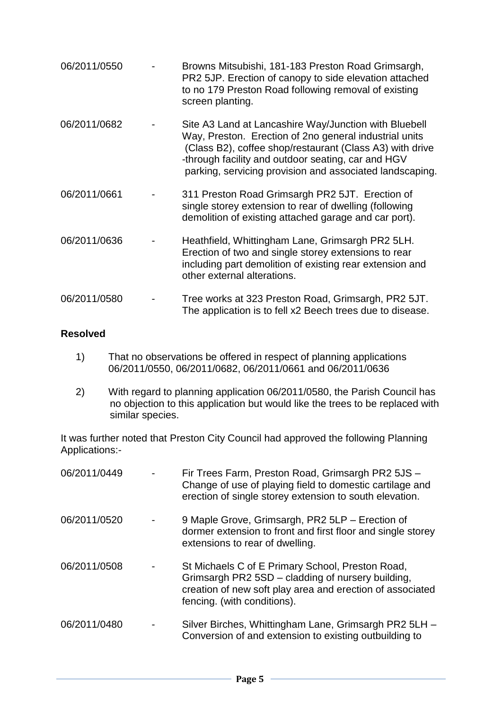| 06/2011/0550 | Browns Mitsubishi, 181-183 Preston Road Grimsargh,<br>PR2 5JP. Erection of canopy to side elevation attached<br>to no 179 Preston Road following removal of existing<br>screen planting.                                                                                                      |
|--------------|-----------------------------------------------------------------------------------------------------------------------------------------------------------------------------------------------------------------------------------------------------------------------------------------------|
| 06/2011/0682 | Site A3 Land at Lancashire Way/Junction with Bluebell<br>Way, Preston. Erection of 2no general industrial units<br>(Class B2), coffee shop/restaurant (Class A3) with drive<br>-through facility and outdoor seating, car and HGV<br>parking, servicing provision and associated landscaping. |
| 06/2011/0661 | 311 Preston Road Grimsargh PR2 5JT. Erection of<br>single storey extension to rear of dwelling (following<br>demolition of existing attached garage and car port).                                                                                                                            |
| 06/2011/0636 | Heathfield, Whittingham Lane, Grimsargh PR2 5LH.<br>Erection of two and single storey extensions to rear<br>including part demolition of existing rear extension and<br>other external alterations.                                                                                           |
| 06/2011/0580 | Tree works at 323 Preston Road, Grimsargh, PR2 5JT.<br>The application is to fell x2 Beech trees due to disease.                                                                                                                                                                              |

### **Resolved**

- 1) That no observations be offered in respect of planning applications 06/2011/0550, 06/2011/0682, 06/2011/0661 and 06/2011/0636
- 2) With regard to planning application 06/2011/0580, the Parish Council has no objection to this application but would like the trees to be replaced with similar species.

It was further noted that Preston City Council had approved the following Planning Applications:-

| 06/2011/0449 | Fir Trees Farm, Preston Road, Grimsargh PR2 5JS -<br>Change of use of playing field to domestic cartilage and<br>erection of single storey extension to south elevation.                          |
|--------------|---------------------------------------------------------------------------------------------------------------------------------------------------------------------------------------------------|
| 06/2011/0520 | 9 Maple Grove, Grimsargh, PR2 5LP - Erection of<br>dormer extension to front and first floor and single storey<br>extensions to rear of dwelling.                                                 |
| 06/2011/0508 | St Michaels C of E Primary School, Preston Road,<br>Grimsargh PR2 5SD - cladding of nursery building,<br>creation of new soft play area and erection of associated<br>fencing. (with conditions). |
| 06/2011/0480 | Silver Birches, Whittingham Lane, Grimsargh PR2 5LH -<br>Conversion of and extension to existing outbuilding to                                                                                   |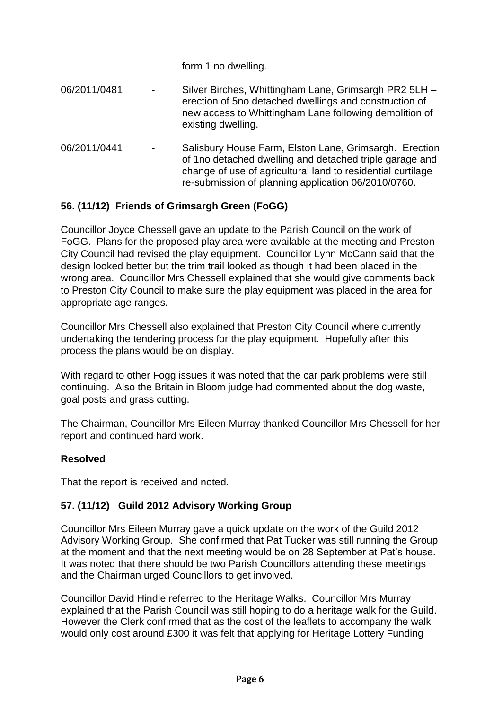|              |                   | form 1 no dwelling.                                                                                                                                                                                                                     |
|--------------|-------------------|-----------------------------------------------------------------------------------------------------------------------------------------------------------------------------------------------------------------------------------------|
| 06/2011/0481 | $\qquad \qquad -$ | Silver Birches, Whittingham Lane, Grimsargh PR2 5LH -<br>erection of 5no detached dwellings and construction of<br>new access to Whittingham Lane following demolition of<br>existing dwelling.                                         |
| 06/2011/0441 |                   | Salisbury House Farm, Elston Lane, Grimsargh. Erection<br>of 1no detached dwelling and detached triple garage and<br>change of use of agricultural land to residential curtilage<br>re-submission of planning application 06/2010/0760. |

# **56. (11/12) Friends of Grimsargh Green (FoGG)**

Councillor Joyce Chessell gave an update to the Parish Council on the work of FoGG. Plans for the proposed play area were available at the meeting and Preston City Council had revised the play equipment. Councillor Lynn McCann said that the design looked better but the trim trail looked as though it had been placed in the wrong area. Councillor Mrs Chessell explained that she would give comments back to Preston City Council to make sure the play equipment was placed in the area for appropriate age ranges.

Councillor Mrs Chessell also explained that Preston City Council where currently undertaking the tendering process for the play equipment. Hopefully after this process the plans would be on display.

With regard to other Fogg issues it was noted that the car park problems were still continuing. Also the Britain in Bloom judge had commented about the dog waste, goal posts and grass cutting.

The Chairman, Councillor Mrs Eileen Murray thanked Councillor Mrs Chessell for her report and continued hard work.

### **Resolved**

That the report is received and noted.

### **57. (11/12) Guild 2012 Advisory Working Group**

Councillor Mrs Eileen Murray gave a quick update on the work of the Guild 2012 Advisory Working Group. She confirmed that Pat Tucker was still running the Group at the moment and that the next meeting would be on 28 September at Pat's house. It was noted that there should be two Parish Councillors attending these meetings and the Chairman urged Councillors to get involved.

Councillor David Hindle referred to the Heritage Walks. Councillor Mrs Murray explained that the Parish Council was still hoping to do a heritage walk for the Guild. However the Clerk confirmed that as the cost of the leaflets to accompany the walk would only cost around £300 it was felt that applying for Heritage Lottery Funding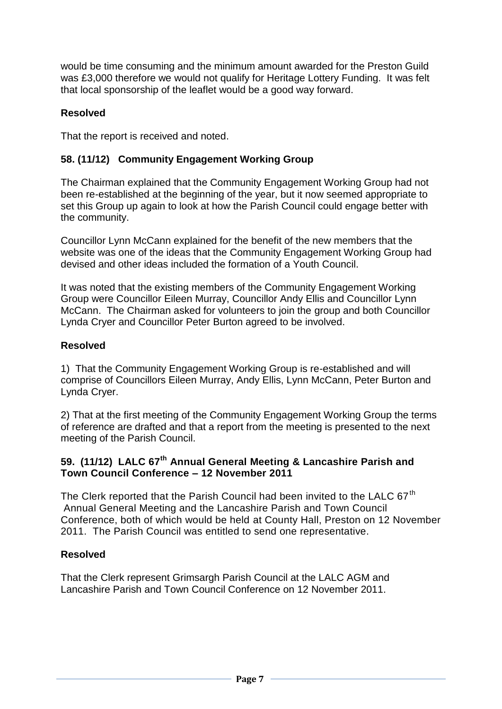would be time consuming and the minimum amount awarded for the Preston Guild was £3,000 therefore we would not qualify for Heritage Lottery Funding. It was felt that local sponsorship of the leaflet would be a good way forward.

# **Resolved**

That the report is received and noted.

### **58. (11/12) Community Engagement Working Group**

The Chairman explained that the Community Engagement Working Group had not been re-established at the beginning of the year, but it now seemed appropriate to set this Group up again to look at how the Parish Council could engage better with the community.

Councillor Lynn McCann explained for the benefit of the new members that the website was one of the ideas that the Community Engagement Working Group had devised and other ideas included the formation of a Youth Council.

It was noted that the existing members of the Community Engagement Working Group were Councillor Eileen Murray, Councillor Andy Ellis and Councillor Lynn McCann. The Chairman asked for volunteers to join the group and both Councillor Lynda Cryer and Councillor Peter Burton agreed to be involved.

### **Resolved**

1) That the Community Engagement Working Group is re-established and will comprise of Councillors Eileen Murray, Andy Ellis, Lynn McCann, Peter Burton and Lynda Cryer.

2) That at the first meeting of the Community Engagement Working Group the terms of reference are drafted and that a report from the meeting is presented to the next meeting of the Parish Council.

# **59. (11/12) LALC 67th Annual General Meeting & Lancashire Parish and Town Council Conference – 12 November 2011**

The Clerk reported that the Parish Council had been invited to the LALC 67<sup>th</sup> Annual General Meeting and the Lancashire Parish and Town Council Conference, both of which would be held at County Hall, Preston on 12 November 2011. The Parish Council was entitled to send one representative.

### **Resolved**

That the Clerk represent Grimsargh Parish Council at the LALC AGM and Lancashire Parish and Town Council Conference on 12 November 2011.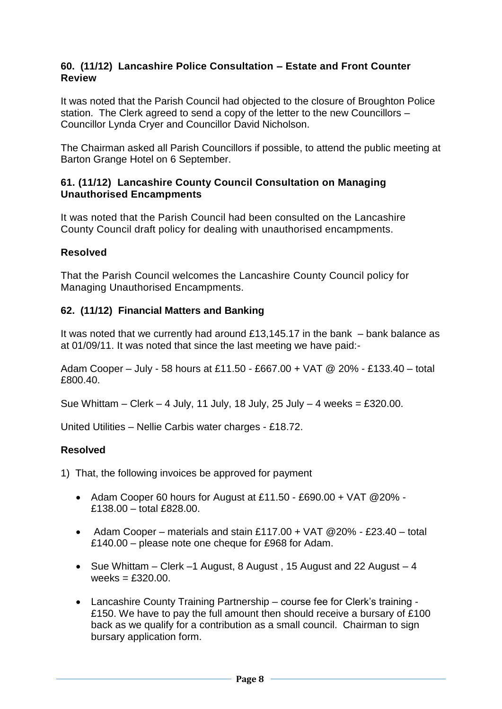#### **60. (11/12) Lancashire Police Consultation – Estate and Front Counter Review**

It was noted that the Parish Council had objected to the closure of Broughton Police station. The Clerk agreed to send a copy of the letter to the new Councillors – Councillor Lynda Cryer and Councillor David Nicholson.

The Chairman asked all Parish Councillors if possible, to attend the public meeting at Barton Grange Hotel on 6 September.

#### **61. (11/12) Lancashire County Council Consultation on Managing Unauthorised Encampments**

It was noted that the Parish Council had been consulted on the Lancashire County Council draft policy for dealing with unauthorised encampments.

### **Resolved**

That the Parish Council welcomes the Lancashire County Council policy for Managing Unauthorised Encampments.

### **62. (11/12) Financial Matters and Banking**

It was noted that we currently had around £13,145.17 in the bank – bank balance as at 01/09/11. It was noted that since the last meeting we have paid:-

Adam Cooper – July - 58 hours at £11.50 - £667.00 + VAT @ 20% - £133.40 – total £800.40.

Sue Whittam – Clerk – 4 July, 11 July, 18 July, 25 July – 4 weeks = £320.00.

United Utilities – Nellie Carbis water charges - £18.72.

#### **Resolved**

1) That, the following invoices be approved for payment

- Adam Cooper 60 hours for August at £11.50 £690.00 + VAT @20% £138.00 – total £828.00.
- Adam Cooper materials and stain £117.00 + VAT  $@20\%$  £23.40 total £140.00 – please note one cheque for £968 for Adam.
- Sue Whittam Clerk –1 August, 8 August, 15 August and 22 August 4 weeks  $=$  £320.00.
- Lancashire County Training Partnership course fee for Clerk's training £150. We have to pay the full amount then should receive a bursary of £100 back as we qualify for a contribution as a small council. Chairman to sign bursary application form.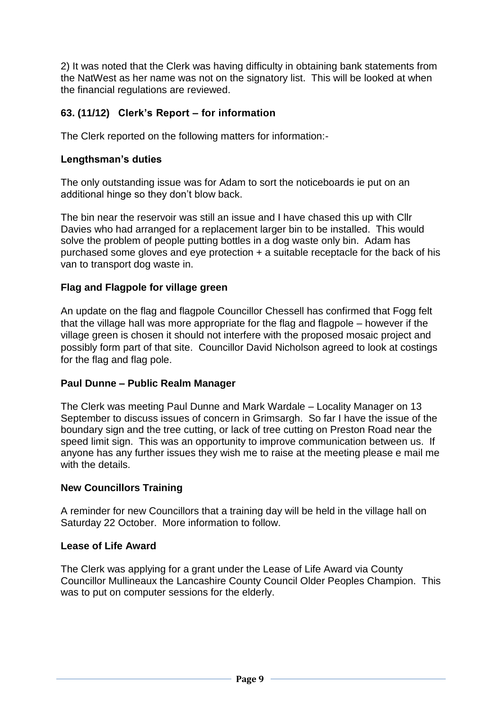2) It was noted that the Clerk was having difficulty in obtaining bank statements from the NatWest as her name was not on the signatory list. This will be looked at when the financial regulations are reviewed.

# **63. (11/12) Clerk's Report – for information**

The Clerk reported on the following matters for information:-

### **Lengthsman's duties**

The only outstanding issue was for Adam to sort the noticeboards ie put on an additional hinge so they don't blow back.

The bin near the reservoir was still an issue and I have chased this up with Cllr Davies who had arranged for a replacement larger bin to be installed. This would solve the problem of people putting bottles in a dog waste only bin. Adam has purchased some gloves and eye protection + a suitable receptacle for the back of his van to transport dog waste in.

### **Flag and Flagpole for village green**

An update on the flag and flagpole Councillor Chessell has confirmed that Fogg felt that the village hall was more appropriate for the flag and flagpole – however if the village green is chosen it should not interfere with the proposed mosaic project and possibly form part of that site. Councillor David Nicholson agreed to look at costings for the flag and flag pole.

#### **Paul Dunne – Public Realm Manager**

The Clerk was meeting Paul Dunne and Mark Wardale – Locality Manager on 13 September to discuss issues of concern in Grimsargh. So far I have the issue of the boundary sign and the tree cutting, or lack of tree cutting on Preston Road near the speed limit sign. This was an opportunity to improve communication between us. If anyone has any further issues they wish me to raise at the meeting please e mail me with the details.

#### **New Councillors Training**

A reminder for new Councillors that a training day will be held in the village hall on Saturday 22 October. More information to follow.

#### **Lease of Life Award**

The Clerk was applying for a grant under the Lease of Life Award via County Councillor Mullineaux the Lancashire County Council Older Peoples Champion. This was to put on computer sessions for the elderly.